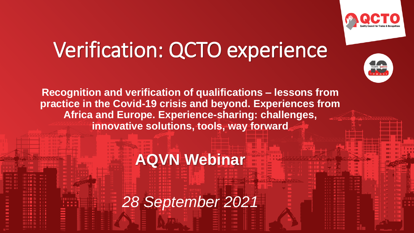

## Verification: QCTO experience



**Recognition and verification of qualifications – lessons from practice in the Covid-19 crisis and beyond. Experiences from Africa and Europe. Experience-sharing: challenges, innovative solutions, tools, way forward**

#### **AQVN Webinar**

*28 September 2021*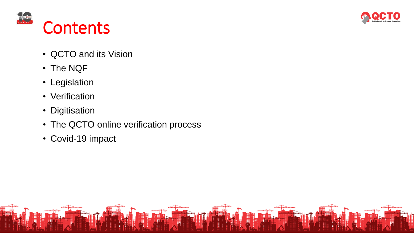



- QCTO and its Vision
- The NQF
- Legislation
- Verification
- Digitisation
- The QCTO online verification process
- Covid-19 impact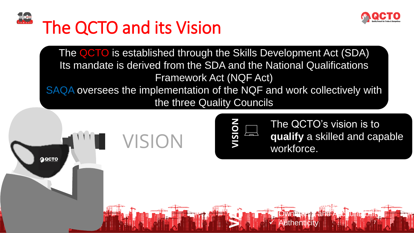

## The QCTO and its Vision

The QCTO is established through the Skills Development Act (SDA) Its mandate is derived from the SDA and the National Qualifications Framework Act (NQF Act) SAQA oversees the implementation of the NQF and work collectively with

the three Quality Councils

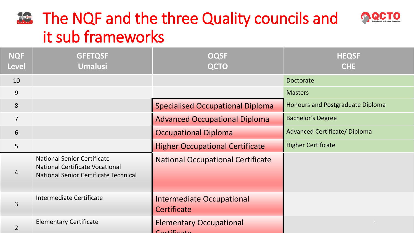#### **E.** The NQF and the three Quality councils and it sub frameworks

| <b>NQF</b><br><b>Level</b> | <b>GFETQSF</b><br><b>Umalusi</b>                                                                                             | <b>OQSF</b><br><b>QCTO</b>                       | <b>HEQSF</b><br><b>CHE</b>              |
|----------------------------|------------------------------------------------------------------------------------------------------------------------------|--------------------------------------------------|-----------------------------------------|
| 10                         |                                                                                                                              |                                                  | <b>Doctorate</b>                        |
| 9                          |                                                                                                                              |                                                  | <b>Masters</b>                          |
| 8                          |                                                                                                                              | <b>Specialised Occupational Diploma</b>          | <b>Honours and Postgraduate Diploma</b> |
| $\overline{7}$             |                                                                                                                              | <b>Advanced Occupational Diploma</b>             | <b>Bachelor's Degree</b>                |
| 6                          |                                                                                                                              | <b>Occupational Diploma</b>                      | <b>Advanced Certificate/ Diploma</b>    |
| 5                          |                                                                                                                              | <b>Higher Occupational Certificate</b>           | <b>Higher Certificate</b>               |
| 4                          | <b>National Senior Certificate</b><br><b>National Certificate Vocational</b><br><b>National Senior Certificate Technical</b> | <b>National Occupational Certificate</b>         |                                         |
| $\overline{3}$             | <b>Intermediate Certificate</b>                                                                                              | <b>Intermediate Occupational</b><br>Certificate  |                                         |
| $\overline{2}$             | <b>Elementary Certificate</b>                                                                                                | <b>Elementary Occupational</b><br>$C$ ortificato | $\sim$ 4                                |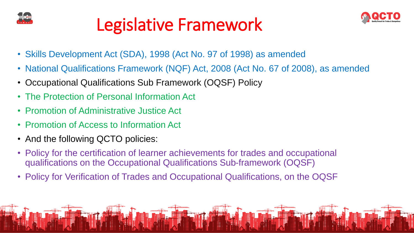

#### Legislative Framework



- Skills Development Act (SDA), 1998 (Act No. 97 of 1998) as amended
- National Qualifications Framework (NQF) Act, 2008 (Act No. 67 of 2008), as amended
- Occupational Qualifications Sub Framework (OQSF) Policy
- The Protection of Personal Information Act
- Promotion of Administrative Justice Act
- Promotion of Access to Information Act
- And the following QCTO policies:
- Policy for the certification of learner achievements for trades and occupational qualifications on the Occupational Qualifications Sub-framework (OQSF)
- Policy for Verification of Trades and Occupational Qualifications, on the OQSF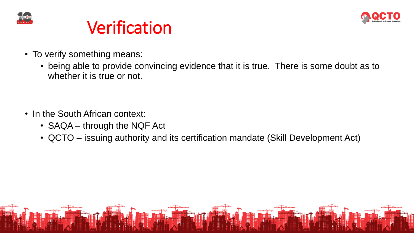



- To verify something means:
	- being able to provide convincing evidence that it is true. There is some doubt as to whether it is true or not.

- In the South African context:
	- SAQA through the NQF Act
	- QCTO issuing authority and its certification mandate (Skill Development Act)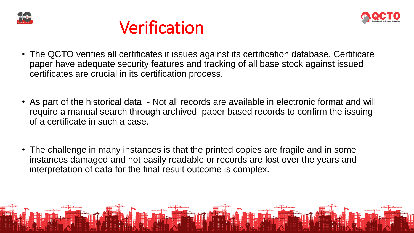





- The QCTO verifies all certificates it issues against its certification database. Certificate paper have adequate security features and tracking of all base stock against issued certificates are crucial in its certification process.
- As part of the historical data Not all records are available in electronic format and will require a manual search through archived paper based records to confirm the issuing of a certificate in such a case.
- The challenge in many instances is that the printed copies are fragile and in some instances damaged and not easily readable or records are lost over the years and interpretation of data for the final result outcome is complex.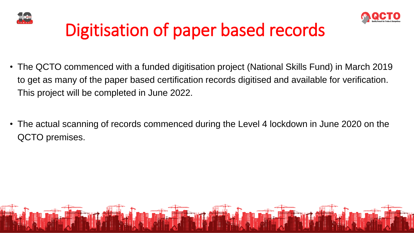



### Digitisation of paper based records

- The QCTO commenced with a funded digitisation project (National Skills Fund) in March 2019 to get as many of the paper based certification records digitised and available for verification. This project will be completed in June 2022.
- The actual scanning of records commenced during the Level 4 lockdown in June 2020 on the QCTO premises.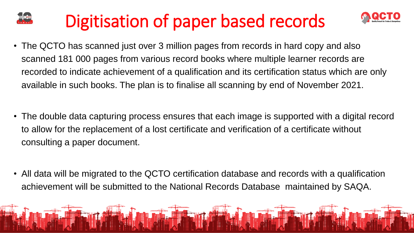#### Digitisation of paper based records



- The QCTO has scanned just over 3 million pages from records in hard copy and also scanned 181 000 pages from various record books where multiple learner records are recorded to indicate achievement of a qualification and its certification status which are only available in such books. The plan is to finalise all scanning by end of November 2021.
- The double data capturing process ensures that each image is supported with a digital record to allow for the replacement of a lost certificate and verification of a certificate without consulting a paper document.
- All data will be migrated to the QCTO certification database and records with a qualification achievement will be submitted to the National Records Database maintained by SAQA.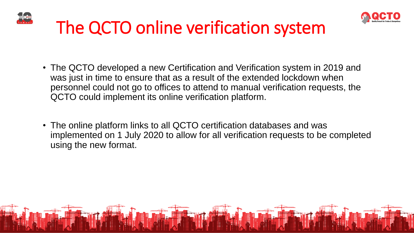



- The QCTO developed a new Certification and Verification system in 2019 and was just in time to ensure that as a result of the extended lockdown when personnel could not go to offices to attend to manual verification requests, the QCTO could implement its online verification platform.
- The online platform links to all QCTO certification databases and was implemented on 1 July 2020 to allow for all verification requests to be completed using the new format.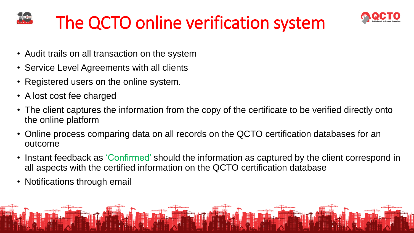



- Audit trails on all transaction on the system
- Service Level Agreements with all clients
- Registered users on the online system.
- A lost cost fee charged
- The client captures the information from the copy of the certificate to be verified directly onto the online platform
- Online process comparing data on all records on the QCTO certification databases for an outcome
- Instant feedback as 'Confirmed' should the information as captured by the client correspond in all aspects with the certified information on the QCTO certification database
- Notifications through email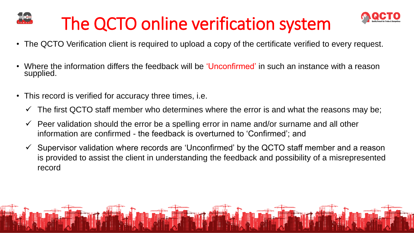



- The QCTO Verification client is required to upload a copy of the certificate verified to every request.
- Where the information differs the feedback will be 'Unconfirmed' in such an instance with a reason supplied.
- This record is verified for accuracy three times, i.e.
	- $\checkmark$  The first QCTO staff member who determines where the error is and what the reasons may be;
	- $\checkmark$  Peer validation should the error be a spelling error in name and/or surname and all other information are confirmed - the feedback is overturned to 'Confirmed'; and
	- $\checkmark$  Supervisor validation where records are 'Unconfirmed' by the QCTO staff member and a reason is provided to assist the client in understanding the feedback and possibility of a misrepresented record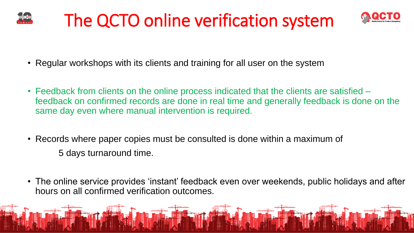



- Regular workshops with its clients and training for all user on the system
- Feedback from clients on the online process indicated that the clients are satisfied feedback on confirmed records are done in real time and generally feedback is done on the same day even where manual intervention is required.
- Records where paper copies must be consulted is done within a maximum of 5 days turnaround time.
- The online service provides 'instant' feedback even over weekends, public holidays and after hours on all confirmed verification outcomes.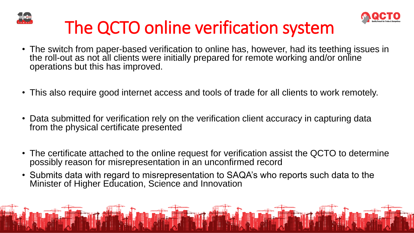



- The switch from paper-based verification to online has, however, had its teething issues in the roll-out as not all clients were initially prepared for remote working and/or online operations but this has improved.
- This also require good internet access and tools of trade for all clients to work remotely.
- Data submitted for verification rely on the verification client accuracy in capturing data from the physical certificate presented
- The certificate attached to the online request for verification assist the QCTO to determine possibly reason for misrepresentation in an unconfirmed record
- Submits data with regard to misrepresentation to SAQA's who reports such data to the Minister of Higher Education, Science and Innovation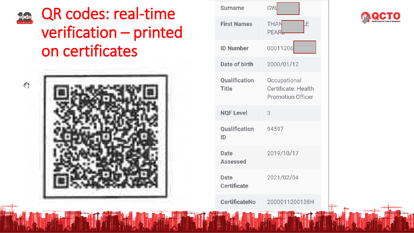#### QR codes: real-time **The Sea** verification – printed on certificates



| <b>Surname</b>                 | GW                                                              |
|--------------------------------|-----------------------------------------------------------------|
| <b>First Names</b>             | <b>THAN</b><br>PEAR                                             |
| <b>ID Number</b>               | 00011206                                                        |
| Date of birth                  | 2000/01/12                                                      |
| Qualification<br><b>Title</b>  | Occupational<br>Certificate: Health<br><b>Promotion Officer</b> |
|                                |                                                                 |
| <b>NQF Level</b>               | 3                                                               |
| <b>Qualification</b><br>ID     | 94597                                                           |
| <b>Date</b><br><b>Assessed</b> | 2019/10/17                                                      |
| Date<br><b>Certificate</b>     | 2021/02/04                                                      |

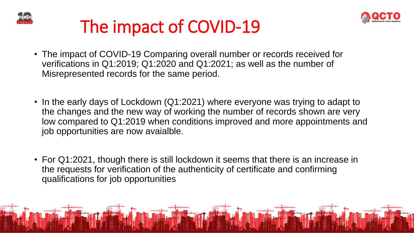



#### The impact of COVID-19

- The impact of COVID-19 Comparing overall number or records received for verifications in Q1:2019; Q1:2020 and Q1:2021; as well as the number of Misrepresented records for the same period.
- In the early days of Lockdown (Q1:2021) where everyone was trying to adapt to the changes and the new way of working the number of records shown are very low compared to Q1:2019 when conditions improved and more appointments and job opportunities are now avaialble.
- For Q1:2021, though there is still lockdown it seems that there is an increase in the requests for verification of the authenticity of certificate and confirming qualifications for job opportunities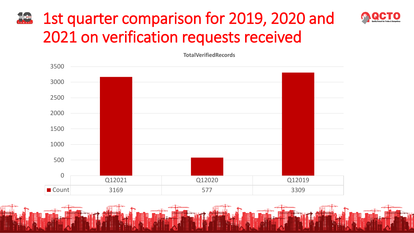#### 1st quarter comparison for 2019, 2020 and **REGIO** 2021 on verification requests received

**TotalVerifiedRecords**

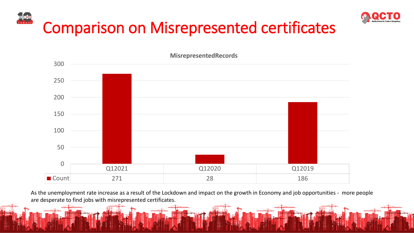



Q12021 Q12020 Q12019 Count 271 28 28 28 28 0 50 100 150 200 250 300

**MisrepresentedRecords**

As the unemployment rate increase as a result of the Lockdown and impact on the growth in Economy and job opportunities - more people are desperate to find jobs with misrepresented certificates.